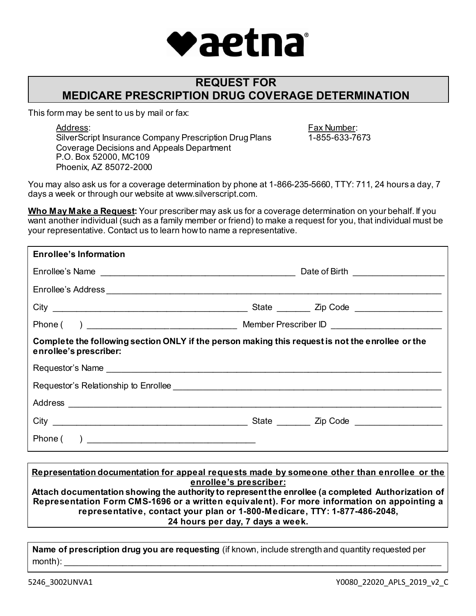

# **REQUEST FOR MEDICARE PRESCRIPTION DRUG COVERAGE DETERMINATION**

This form may be sent to us by mail or fax:

Address: SilverScript Insurance Company Prescription Drug Plans Coverage Decisions and Appeals Department P.O. Box 52000, MC109 Phoenix, AZ 85072-2000

Fax Number: 1-855-633-7673

You may also ask us for a coverage determination by phone at 1-866-235-5660, TTY: 711, 24 hours a day, 7 days a week or through our website at www.silverscript.com.

**Who May Make a Request:** Your prescriber may ask us for a coverage determination on your behalf. If you want another individual (such as a family member or friend) to make a request for you, that individual must be your representative. Contact us to learn howto name a representative.

| <b>Enrollee's Information</b>                                                                                              |  |  |  |
|----------------------------------------------------------------------------------------------------------------------------|--|--|--|
| Enrollee's Name                                                                                                            |  |  |  |
|                                                                                                                            |  |  |  |
|                                                                                                                            |  |  |  |
|                                                                                                                            |  |  |  |
| Complete the following section ONLY if the person making this request is not the enrollee or the<br>enrollee's prescriber: |  |  |  |
|                                                                                                                            |  |  |  |
|                                                                                                                            |  |  |  |
|                                                                                                                            |  |  |  |
|                                                                                                                            |  |  |  |
|                                                                                                                            |  |  |  |

**Representation documentation for appeal requests made by someone other than enrollee or the enrollee's prescriber:**

**Attach documentation showing the authority to represent the enrollee (a completed Authorization of Representation Form CMS-1696 or a written equivalent). For more information on appointing a representative, contact your plan or 1-800-Medicare, TTY: 1-877-486-2048, 24 hours per day, 7 days a week.**

**Name of prescription drug you are requesting** (if known, include strength and quantity requested per month): \_\_\_\_\_\_\_\_\_\_\_\_\_\_\_\_\_\_\_\_\_\_\_\_\_\_\_\_\_\_\_\_\_\_\_\_\_\_\_\_\_\_\_\_\_\_\_\_\_\_\_\_\_\_\_\_\_\_\_\_\_\_\_\_\_\_\_\_\_\_\_\_\_\_\_\_\_\_\_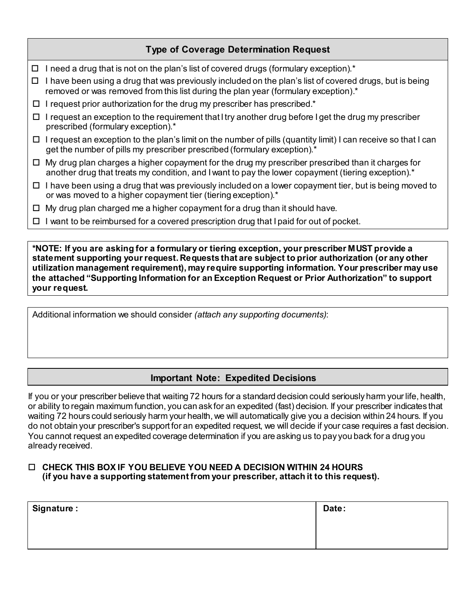## **Type of Coverage Determination Request**

- $\Box$  I need a drug that is not on the plan's list of covered drugs (formulary exception).<sup>\*</sup>
- $\Box$  I have been using a drug that was previously included on the plan's list of covered drugs, but is being removed or was removed from this list during the plan year (formulary exception).\*
- $\Box$  I request prior authorization for the drug my prescriber has prescribed.\*
- $\Box$  I request an exception to the requirement that I try another drug before I get the drug my prescriber prescribed (formulary exception).\*
- $\Box$  I request an exception to the plan's limit on the number of pills (quantity limit) I can receive so that I can get the number of pills my prescriber prescribed (formulary exception).\*
- $\Box$  My drug plan charges a higher copayment for the drug my prescriber prescribed than it charges for another drug that treats my condition, and I want to pay the lower copayment (tiering exception).\*
- $\Box$  I have been using a drug that was previously included on a lower copayment tier, but is being moved to or was moved to a higher copayment tier (tiering exception).\*
- $\Box$  My drug plan charged me a higher copayment for a drug than it should have.
- $\Box$  I want to be reimbursed for a covered prescription drug that I paid for out of pocket.

**\*NOTE: If you are asking for a formulary or tiering exception, your prescriber MUST provide a statement supporting your request. Requests that are subject to prior authorization (or any other utilization management requirement), may require supporting information. Your prescriber may use the attached "Supporting Information for an Exception Request or Prior Authorization" to support your request.** 

Additional information we should consider *(attach any supporting documents)*:

## **Important Note: Expedited Decisions**

If you or your prescriber believe that waiting 72 hours for a standard decision could seriously harm your life, health, or ability to regain maximum function, you can ask for an expedited (fast) decision. If your prescriber indicates that waiting 72 hours could seriously harm your health, we will automatically give you a decision within 24 hours. If you do not obtain your prescriber's support for an expedited request, we will decide if your case requires a fast decision. You cannot request an expedited coverage determination if you are asking us to pay you back for a drug you already received.

#### **CHECK THIS BOX IF YOU BELIEVE YOU NEED A DECISION WITHIN 24 HOURS (if you have a supporting statement from your prescriber, attach it to this request).**

| <b>Signature:</b> | Date: |
|-------------------|-------|
|                   |       |
|                   |       |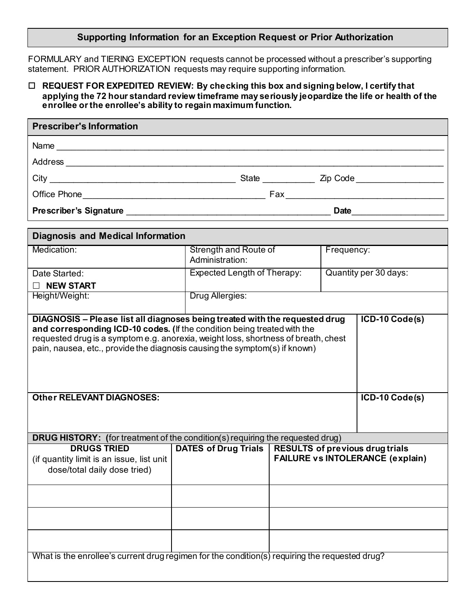### **Supporting Information for an Exception Request or Prior Authorization**

FORMULARY and TIERING EXCEPTION requests cannot be processed without a prescriber's supporting statement. PRIOR AUTHORIZATION requests may require supporting information.

#### **REQUEST FOR EXPEDITED REVIEW: By checking this box and signing below, I certify that applying the 72 hour standard review timeframe may seriously jeopardize the life or health of the enrollee or the enrollee's ability to regain maximum function.**

| <b>Prescriber's Information</b>                                                                                |                                          |                                                                                                   |                       |                  |  |  |  |
|----------------------------------------------------------------------------------------------------------------|------------------------------------------|---------------------------------------------------------------------------------------------------|-----------------------|------------------|--|--|--|
|                                                                                                                |                                          |                                                                                                   |                       |                  |  |  |  |
|                                                                                                                |                                          |                                                                                                   |                       |                  |  |  |  |
|                                                                                                                |                                          |                                                                                                   |                       |                  |  |  |  |
|                                                                                                                |                                          |                                                                                                   |                       |                  |  |  |  |
|                                                                                                                |                                          |                                                                                                   |                       |                  |  |  |  |
| <b>Diagnosis and Medical Information</b>                                                                       |                                          |                                                                                                   |                       |                  |  |  |  |
| Medication:                                                                                                    | Strength and Route of<br>Administration: |                                                                                                   | Frequency:            |                  |  |  |  |
| Date Started:                                                                                                  | <b>Expected Length of Therapy:</b>       |                                                                                                   | Quantity per 30 days: |                  |  |  |  |
| $\Box$ NEW START                                                                                               |                                          |                                                                                                   |                       |                  |  |  |  |
| Height/Weight:                                                                                                 | Drug Allergies:                          |                                                                                                   |                       |                  |  |  |  |
| pain, nausea, etc., provide the diagnosis causing the symptom(s) if known)<br><b>Other RELEVANT DIAGNOSES:</b> |                                          |                                                                                                   |                       | $ICD-10 Code(s)$ |  |  |  |
| <b>DRUG HISTORY:</b> (for treatment of the condition(s) requiring the requested drug)                          |                                          |                                                                                                   |                       |                  |  |  |  |
| <b>DRUGS TRIED</b><br>(if quantity limit is an issue, list unit<br>dose/total daily dose tried)                |                                          | DATES of Drug Trials   RESULTS of previous drug trials<br><b>FAILURE vs INTOLERANCE (explain)</b> |                       |                  |  |  |  |
|                                                                                                                |                                          |                                                                                                   |                       |                  |  |  |  |
|                                                                                                                |                                          |                                                                                                   |                       |                  |  |  |  |
| What is the enrollee's current drug regimen for the condition(s) requiring the requested drug?                 |                                          |                                                                                                   |                       |                  |  |  |  |